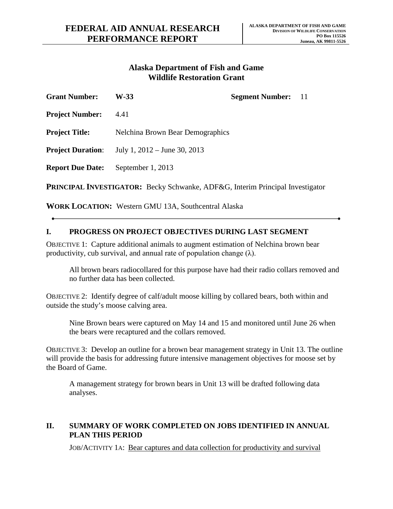## **Wildlife Restoration Grant Alaska Department of Fish and Game**

| <b>Grant Number:</b>                                                                | W-33                                    | <b>Segment Number:</b> 11 |  |
|-------------------------------------------------------------------------------------|-----------------------------------------|---------------------------|--|
| <b>Project Number:</b>                                                              | 4.41                                    |                           |  |
| <b>Project Title:</b>                                                               | <b>Nelchina Brown Bear Demographics</b> |                           |  |
| <b>Project Duration:</b>                                                            | July 1, $2012 -$ June 30, $2013$        |                           |  |
| <b>Report Due Date:</b>                                                             | September 1, 2013                       |                           |  |
| <b>DOINCIDAL INVESTIGATOR</b> , Booky Cohworks, ADE&C Interim Dringinal Investigate |                                         |                           |  |

**PRINCIPAL INVESTIGATOR:** Becky Schwanke, ADF&G, Interim Principal Investigator

**WORK LOCATION:** Western GMU 13A, Southcentral Alaska

## **I. PROGRESS ON PROJECT OBJECTIVES DURING LAST SEGMENT**

OBJECTIVE 1: Capture additional animals to augment estimation of Nelchina brown bear productivity, cub survival, and annual rate of population change  $(\lambda)$ .

 All brown bears radiocollared for this purpose have had their radio collars removed and no further data has been collected.

 OBJECTIVE 2: Identify degree of calf/adult moose killing by collared bears, both within and outside the study's moose calving area.

Nine Brown bears were captured on May 14 and 15 and monitored until June 26 when the bears were recaptured and the collars removed.

 OBJECTIVE 3: Develop an outline for a brown bear management strategy in Unit 13. The outline will provide the basis for addressing future intensive management objectives for moose set by the Board of Game.

A management strategy for brown bears in Unit 13 will be drafted following data analyses.

## **II. SUMMARY OF WORK COMPLETED ON JOBS IDENTIFIED IN ANNUAL PLAN THIS PERIOD**

JOB/ACTIVITY 1A: Bear captures and data collection for productivity and survival